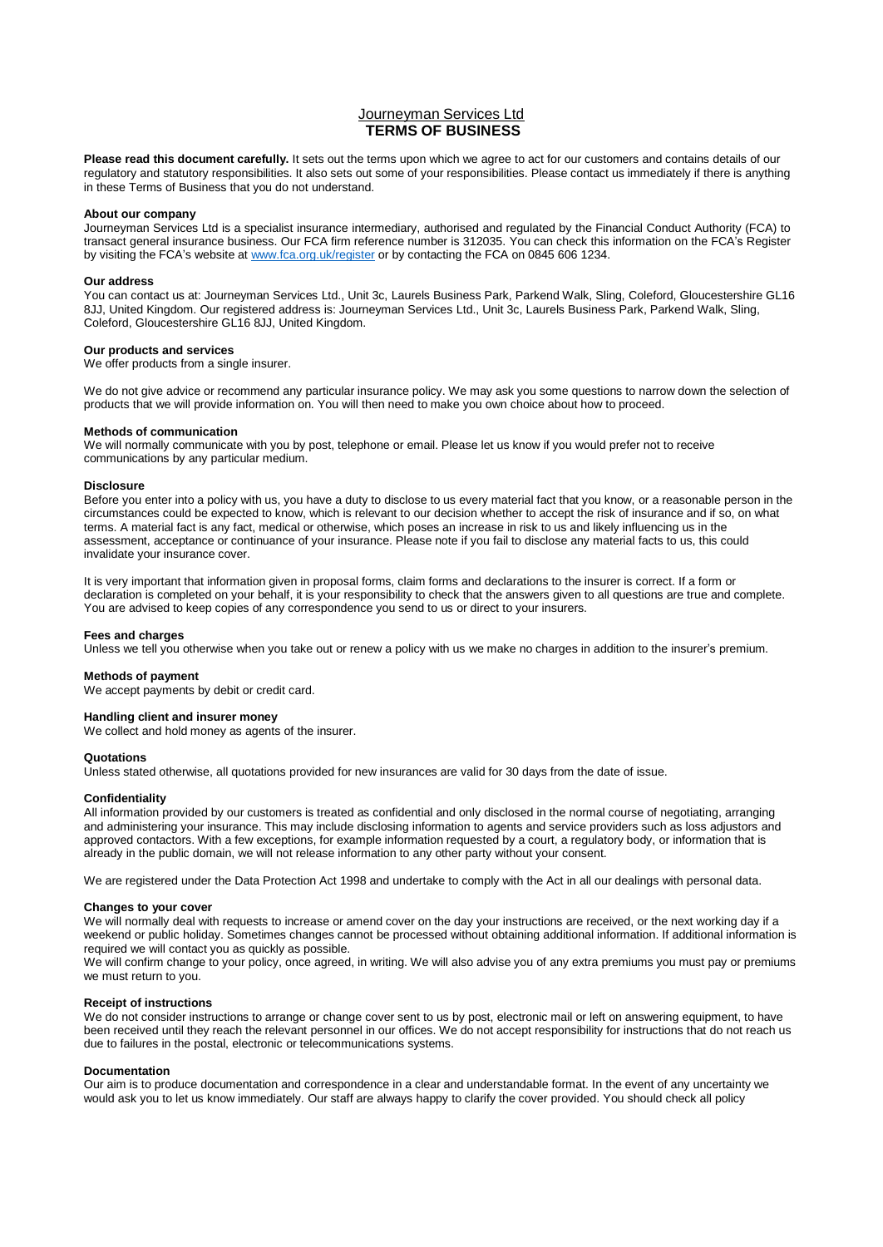# Journeyman Services Ltd **TERMS OF BUSINESS**

**Please read this document carefully.** It sets out the terms upon which we agree to act for our customers and contains details of our regulatory and statutory responsibilities. It also sets out some of your responsibilities. Please contact us immediately if there is anything in these Terms of Business that you do not understand.

### **About our company**

Journeyman Services Ltd is a specialist insurance intermediary, authorised and regulated by the Financial Conduct Authority (FCA) to transact general insurance business. Our FCA firm reference number is 312035. You can check this information on the FCA's Register by visiting the FCA's website at [www.fca.org.uk/register](http://www.fca.org.uk/register) or by contacting the FCA on 0845 606 1234.

## **Our address**

You can contact us at: Journeyman Services Ltd., Unit 3c, Laurels Business Park, Parkend Walk, Sling, Coleford, Gloucestershire GL16 8JJ, United Kingdom. Our registered address is: Journeyman Services Ltd., Unit 3c, Laurels Business Park, Parkend Walk, Sling, Coleford, Gloucestershire GL16 8JJ, United Kingdom.

## **Our products and services**

We offer products from a single insurer.

We do not give advice or recommend any particular insurance policy. We may ask you some questions to narrow down the selection of products that we will provide information on. You will then need to make you own choice about how to proceed.

#### **Methods of communication**

We will normally communicate with you by post, telephone or email. Please let us know if you would prefer not to receive communications by any particular medium.

#### **Disclosure**

Before you enter into a policy with us, you have a duty to disclose to us every material fact that you know, or a reasonable person in the circumstances could be expected to know, which is relevant to our decision whether to accept the risk of insurance and if so, on what terms. A material fact is any fact, medical or otherwise, which poses an increase in risk to us and likely influencing us in the assessment, acceptance or continuance of your insurance. Please note if you fail to disclose any material facts to us, this could invalidate your insurance cover.

It is very important that information given in proposal forms, claim forms and declarations to the insurer is correct. If a form or declaration is completed on your behalf, it is your responsibility to check that the answers given to all questions are true and complete. You are advised to keep copies of any correspondence you send to us or direct to your insurers.

#### **Fees and charges**

Unless we tell you otherwise when you take out or renew a policy with us we make no charges in addition to the insurer's premium.

#### **Methods of payment**

We accept payments by debit or credit card.

## **Handling client and insurer money**

We collect and hold money as agents of the insurer.

#### **Quotations**

Unless stated otherwise, all quotations provided for new insurances are valid for 30 days from the date of issue.

#### **Confidentiality**

All information provided by our customers is treated as confidential and only disclosed in the normal course of negotiating, arranging and administering your insurance. This may include disclosing information to agents and service providers such as loss adjustors and approved contactors. With a few exceptions, for example information requested by a court, a regulatory body, or information that is already in the public domain, we will not release information to any other party without your consent.

We are registered under the Data Protection Act 1998 and undertake to comply with the Act in all our dealings with personal data.

#### **Changes to your cover**

We will normally deal with requests to increase or amend cover on the day your instructions are received, or the next working day if a weekend or public holiday. Sometimes changes cannot be processed without obtaining additional information. If additional information is required we will contact you as quickly as possible.

We will confirm change to your policy, once agreed, in writing. We will also advise you of any extra premiums you must pay or premiums we must return to you.

## **Receipt of instructions**

We do not consider instructions to arrange or change cover sent to us by post, electronic mail or left on answering equipment, to have been received until they reach the relevant personnel in our offices. We do not accept responsibility for instructions that do not reach us due to failures in the postal, electronic or telecommunications systems.

## **Documentation**

Our aim is to produce documentation and correspondence in a clear and understandable format. In the event of any uncertainty we would ask you to let us know immediately. Our staff are always happy to clarify the cover provided. You should check all policy